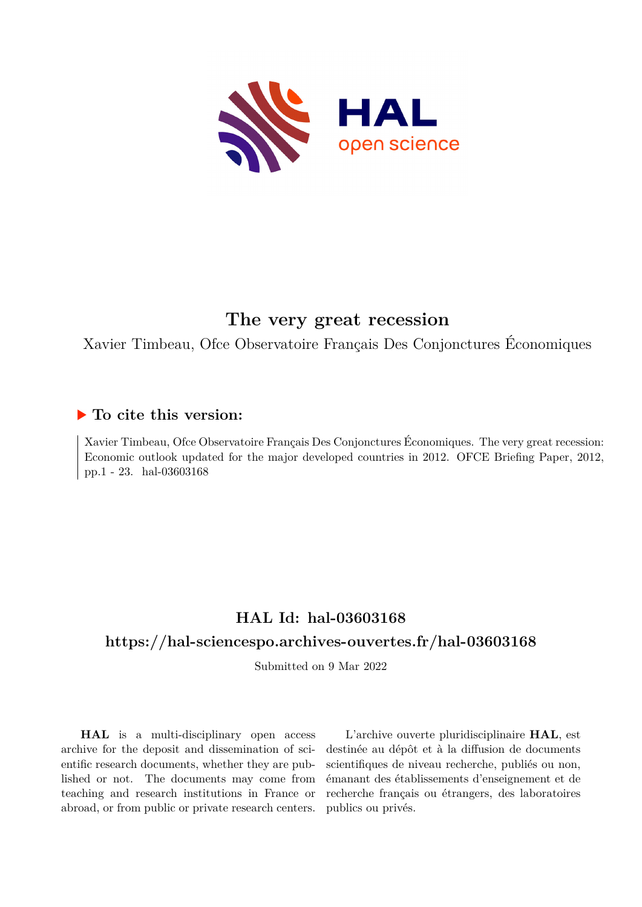

## **The very great recession**

Xavier Timbeau, Ofce Observatoire Français Des Conjonctures Économiques

## **To cite this version:**

Xavier Timbeau, Ofce Observatoire Français Des Conjonctures Économiques. The very great recession: Economic outlook updated for the major developed countries in 2012. OFCE Briefing Paper, 2012, pp.1 - 23. hal-03603168

## **HAL Id: hal-03603168**

## **<https://hal-sciencespo.archives-ouvertes.fr/hal-03603168>**

Submitted on 9 Mar 2022

**HAL** is a multi-disciplinary open access archive for the deposit and dissemination of scientific research documents, whether they are published or not. The documents may come from teaching and research institutions in France or abroad, or from public or private research centers.

L'archive ouverte pluridisciplinaire **HAL**, est destinée au dépôt et à la diffusion de documents scientifiques de niveau recherche, publiés ou non, émanant des établissements d'enseignement et de recherche français ou étrangers, des laboratoires publics ou privés.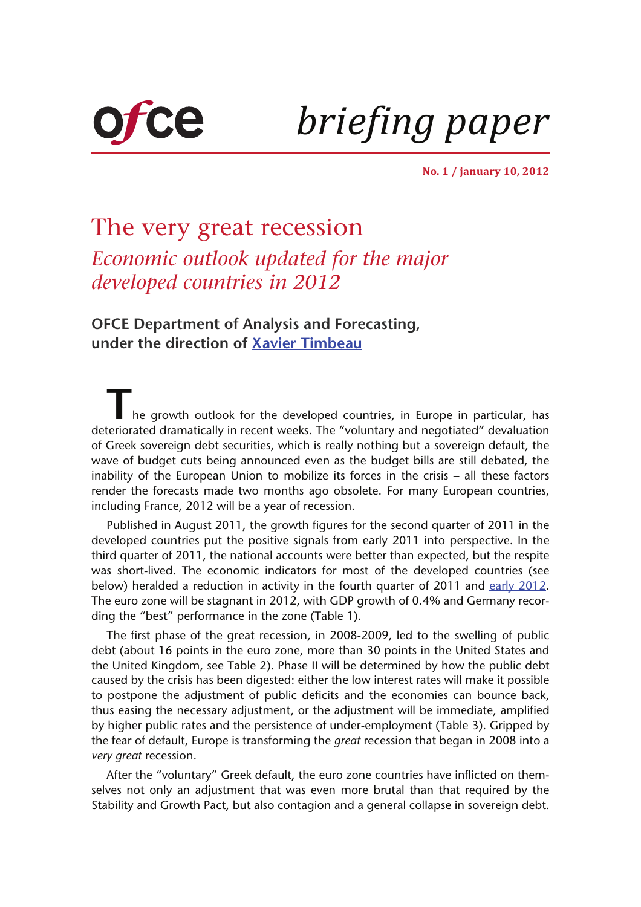

*briefing paper*

**No. 1 / january 10, 2012**

# The very great recession *Economic outlook updated for the major developed countries in 2012*

**OFCE Department of Analysis and Forecasting, under the direction of Xavier Timbeau**

T<sub>he growth outlook for the developed countries, in Europe in particular, has</sub> deteriorated dramatically in recent weeks. The "voluntary and negotiated" devaluation of Greek sovereign debt securities, which is really nothing but a sovereign default, the wave of budget cuts being announced even as the budget bills are still debated, the inability of the European Union to mobilize its forces in the crisis – all these factors render the forecasts made two months ago obsolete. For many European countries, including France, 2012 will be a year of recession.

Published in August 2011, the growth figures for the second quarter of 2011 in the developed countries put the positive signals from early 2011 into perspective. In the third quarter of 2011, the national accounts were better than expected, but the respite was short-lived. The economic indicators for most of the developed countries (see below) heralded a reduction in activity in the fourth quarter of 2011 and [early 2012.](http://www.insee.fr/fr/themes/theme.asp?theme=17&sous_theme=3&page=note.htm) The euro zone will be stagnant in 2012, with GDP growth of 0.4% and Germany recording the "best" performance in the zone (Table 1).

[The first phase of the great recession, in 2008-2009, led to the swelling of public](http://www.ofce.sciences-po.fr/blog/wp-content/uploads/2011/12/Tabe1_Post_prev.jpg) [debt \(about 16 points in the euro zone, more than 30 points in the United States and](http://www.ofce.sciences-po.fr/blog/wp-content/uploads/2011/12/Tabe1_Post_prev.jpg) the United Kingdom, see Table 2). Phase II will be determined by how the public debt caused by the crisis has been digested: either the low interest rates will make it possible to postpone the adjustment of public deficits and the economies can bounce back, thus easing the necessary adjustment, or the adjustment will be immediate, amplified by higher public rates and the persistence of under-employment (Table 3). Gripped by [the fear of default, Europe is transforming the](http://www.ofce.sciences-po.fr/blog/wp-content/uploads/2011/12/Tabe1_Post_prev.jpg) *great* recession that began in 2008 into a *very great* recession.

[After the "voluntary" Greek default, the euro zone countries have inflicted on them](http://www.ofce.sciences-po.fr/blog/wp-content/uploads/2011/12/Tabe3_Post_prev.jpg)[selves not only an adjustment that was even more brutal than that required by the](http://www.ofce.sciences-po.fr/blog/wp-content/uploads/2011/12/Tabe3_Post_prev.jpg) [Stability and Growth Pact, but also contagion and a general collapse in sovereign debt.](http://www.ofce.sciences-po.fr/blog/wp-content/uploads/2011/12/Tabe3_Post_prev.jpg)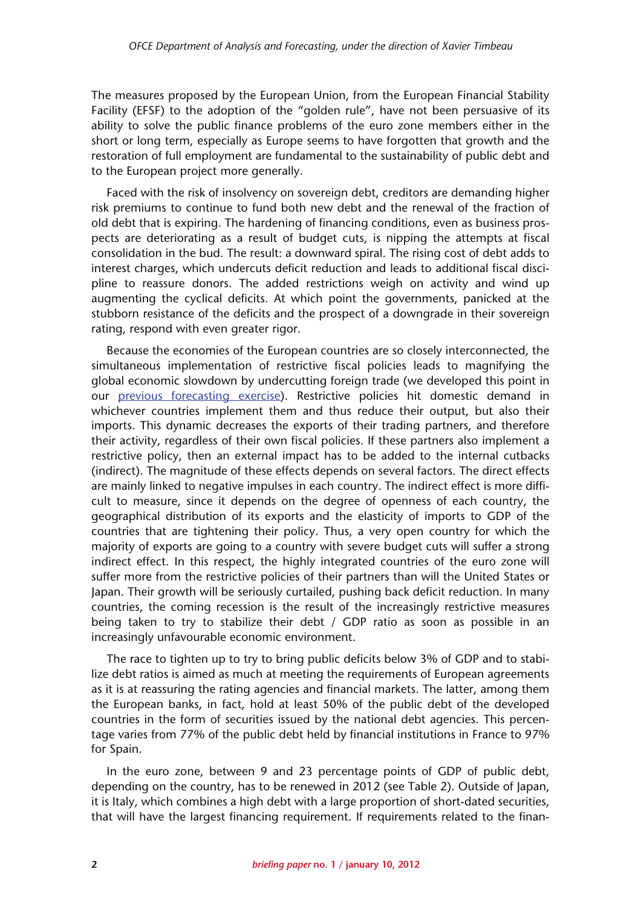The measures proposed by the European Union, from the European Financial Stability [Facility \(EFSF\) to the adoption of the "golden rule", have not been persuasive of its](http://www.ofce.sciences-po.fr/blog/wp-content/uploads/2011/12/Tabe3_Post_prev.jpg) ability to solve the public finance problems of the euro zone members either in the short or long term, especially as Europe seems to have forgotten that growth and the restoration of full employment are fundamental to the sustainability of public debt and to the European project more generally.

Faced with the risk of insolvency on sovereign debt, creditors are demanding higher risk premiums to continue to fund both new debt and the renewal of the fraction of old debt that is expiring. The hardening of financing conditions, even as business prospects are deteriorating as a result of budget cuts, is nipping the attempts at fiscal consolidation in the bud. The result: a downward spiral. The rising cost of debt adds to interest charges, which undercuts deficit reduction and leads to additional fiscal discipline to reassure donors. The added restrictions weigh on activity and wind up augmenting the cyclical deficits. At which point the governments, panicked at the stubborn resistance of the deficits and the prospect of a downgrade in their sovereign rating, respond with even greater rigor.

Because the economies of the European countries are so closely interconnected, the simultaneous implementation of restrictive fiscal policies leads to magnifying the global economic slowdown by undercutting foreign trade (we developed this point in our [previous forecasting exercise](http://www.ofce.sciences-po.fr/indic&prev/previsions.htm?current=five&sub=c)). Restrictive policies hit domestic demand in whichever countries implement them and thus reduce their output, but also their imports. This dynamic decreases the exports of their trading partners, and therefore their activity, regardless of their own fiscal policies. If these partners also implement a restrictive policy, then an external impact has to be added to the internal cutbacks (indirect). The magnitude of these effects depends on several factors. The direct effects are mainly linked to negative impulses in each country. The indirect effect is more difficult to measure, since it depends on the degree of openness of each country, the geographical distribution of its exports and the elasticity of imports to GDP of the countries that are tightening their policy. Thus, a very open country for which the majority of exports are going to a country with severe budget cuts will suffer a strong indirect effect. In this respect, the highly integrated countries of the euro zone will suffer more from the restrictive policies of their partners than will the United States or Japan. Their growth will be seriously curtailed, pushing back deficit reduction. In many countries, the coming recession is the result of the increasingly restrictive measures being taken to try to stabilize their debt / GDP ratio as soon as possible in an increasingly unfavourable economic environment.

The race to tighten up to try to bring public deficits below 3% of GDP and to stabilize debt ratios is aimed as much at meeting the requirements of European agreements as it is at reassuring the rating agencies and financial markets. The latter, among them the European banks, in fact, hold at least 50% of the public debt of the developed countries in the form of securities issued by the national debt agencies. This percentage varies from 77% of the public debt held by financial institutions in France to 97% for Spain.

In the euro zone, between 9 and 23 percentage points of GDP of public debt, depending on the country, has to be renewed in 2012 (see Table 2). Outside of Japan, it is Italy, which combines a high debt with a large proportion of short-dated securities, that will have the largest financing requirement. If requirements related to the finan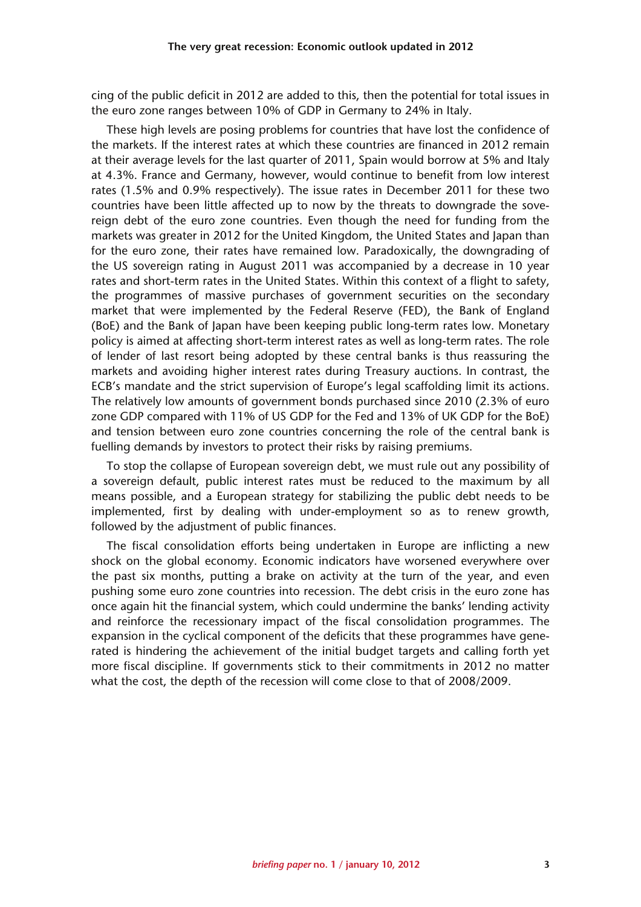cing of the public deficit in 2012 are added to this, then the potential for total issues in the euro zone ranges between 10% of GDP in Germany to 24% in Italy.

These high levels are posing problems for countries that have lost the confidence of the markets. If the interest rates at which these countries are financed in 2012 remain at their average levels for the last quarter of 2011, Spain would borrow at 5% and Italy at 4.3%. France and Germany, however, would continue to benefit from low interest rates (1.5% and 0.9% respectively). The issue rates in December 2011 for these two countries have been little affected up to now by the threats to downgrade the sovereign debt of the euro zone countries. Even though the need for funding from the markets was greater in 2012 for the United Kingdom, the United States and Japan than for the euro zone, their rates have remained low. Paradoxically, the downgrading of the US sovereign rating in August 2011 was accompanied by a decrease in 10 year rates and short-term rates in the United States. Within this context of a flight to safety, the programmes of massive purchases of government securities on the secondary market that were implemented by the Federal Reserve (FED), the Bank of England (BoE) and the Bank of Japan have been keeping public long-term rates low. Monetary policy is aimed at affecting short-term interest rates as well as long-term rates. The role of lender of last resort being adopted by these central banks is thus reassuring the markets and avoiding higher interest rates during Treasury auctions. In contrast, the ECB's mandate and the strict supervision of Europe's legal scaffolding limit its actions. The relatively low amounts of government bonds purchased since 2010 (2.3% of euro zone GDP compared with 11% of US GDP for the Fed and 13% of UK GDP for the BoE) and tension between euro zone countries concerning the role of the central bank is fuelling demands by investors to protect their risks by raising premiums.

To stop the collapse of European sovereign debt, we must rule out any possibility of a sovereign default, public interest rates must be reduced to the maximum by all means possible, and a European strategy for stabilizing the public debt needs to be implemented, first by dealing with under-employment so as to renew growth, followed by the adjustment of public finances.

The fiscal consolidation efforts being undertaken in Europe are inflicting a new shock on the global economy. Economic indicators have worsened everywhere over the past six months, putting a brake on activity at the turn of the year, and even pushing some euro zone countries into recession. The debt crisis in the euro zone has once again hit the financial system, which could undermine the banks' lending activity and reinforce the recessionary impact of the fiscal consolidation programmes. The expansion in the cyclical component of the deficits that these programmes have generated is hindering the achievement of the initial budget targets and calling forth yet more fiscal discipline. If governments stick to their commitments in 2012 no matter what the cost, the depth of the recession will come close to that of 2008/2009.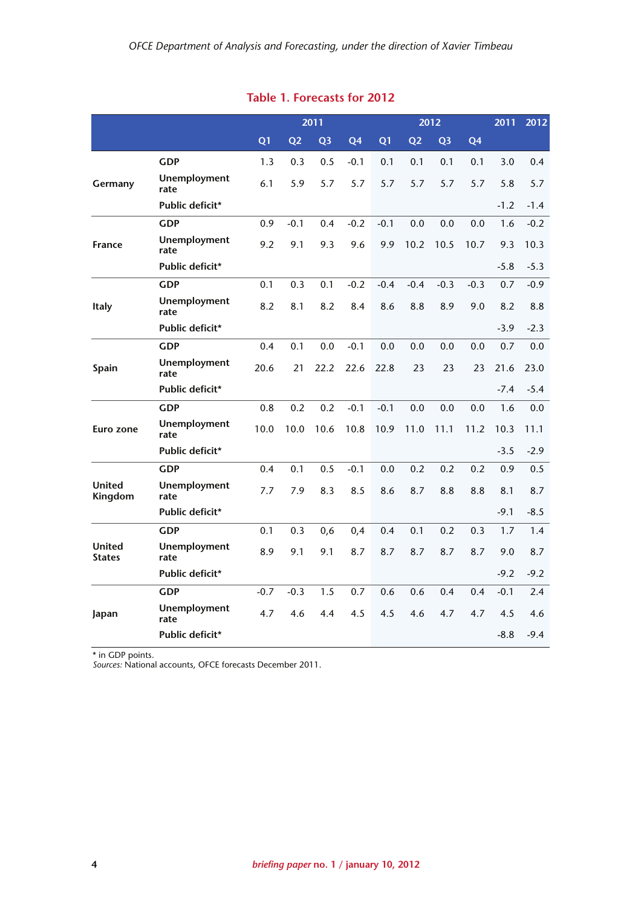|                                |                             |                | 2011           |                |        | 2012           |                |                |                | 2011   | 2012   |
|--------------------------------|-----------------------------|----------------|----------------|----------------|--------|----------------|----------------|----------------|----------------|--------|--------|
|                                |                             | Q <sub>1</sub> | Q <sub>2</sub> | Q <sub>3</sub> | Q4     | Q <sub>1</sub> | Q <sub>2</sub> | Q <sub>3</sub> | Q <sub>4</sub> |        |        |
|                                | <b>GDP</b>                  | 1.3            | 0.3            | 0.5            | $-0.1$ | 0.1            | 0.1            | 0.1            | 0.1            | 3.0    | 0.4    |
| Germany                        | Unemployment<br>rate        | 6.1            | 5.9            | 5.7            | 5.7    | 5.7            | 5.7            | 5.7            | 5.7            | 5.8    | 5.7    |
|                                | Public deficit*             |                |                |                |        |                |                |                |                | $-1.2$ | $-1.4$ |
|                                | <b>GDP</b>                  | 0.9            | $-0.1$         | 0.4            | $-0.2$ | $-0.1$         | 0.0            | 0.0            | 0.0            | 1.6    | $-0.2$ |
| <b>France</b>                  | Unemployment<br>rate        | 9.2            | 9.1            | 9.3            | 9.6    | 9.9            | 10.2           | 10.5           | 10.7           | 9.3    | 10.3   |
|                                | Public deficit*             |                |                |                |        |                |                |                |                | $-5.8$ | $-5.3$ |
|                                | <b>GDP</b>                  | 0.1            | 0.3            | 0.1            | $-0.2$ | $-0.4$         | $-0.4$         | $-0.3$         | $-0.3$         | 0.7    | $-0.9$ |
| <b>Italy</b>                   | Unemployment<br>rate        | 8.2            | 8.1            | 8.2            | 8.4    | 8.6            | 8.8            | 8.9            | 9.0            | 8.2    | 8.8    |
|                                | Public deficit*             |                |                |                |        |                |                |                |                | $-3.9$ | $-2.3$ |
|                                | <b>GDP</b>                  | 0.4            | 0.1            | 0.0            | $-0.1$ | 0.0            | 0.0            | 0.0            | 0.0            | 0.7    | 0.0    |
| Spain                          | Unemployment<br>rate        | 20.6           | 21             | 22.2           | 22.6   | 22.8           | 23             | 23             | 23             | 21.6   | 23.0   |
|                                | Public deficit*             |                |                |                |        |                |                |                |                | $-7.4$ | $-5.4$ |
|                                | <b>GDP</b>                  | 0.8            | 0.2            | 0.2            | $-0.1$ | $-0.1$         | 0.0            | 0.0            | 0.0            | 1.6    | 0.0    |
| Euro zone                      | <b>Unemployment</b><br>rate | 10.0           | 10.0           | 10.6           | 10.8   | 10.9           | 11.0           | 11.1           | 11.2           | 10.3   | 11.1   |
|                                | Public deficit*             |                |                |                |        |                |                |                |                | $-3.5$ | $-2.9$ |
|                                | <b>GDP</b>                  | 0.4            | 0.1            | 0.5            | $-0.1$ | 0.0            | 0.2            | 0.2            | 0.2            | 0.9    | 0.5    |
| <b>United</b><br>Kingdom       | <b>Unemployment</b><br>rate | 7.7            | 7.9            | 8.3            | 8.5    | 8.6            | 8.7            | 8.8            | 8.8            | 8.1    | 8.7    |
|                                | Public deficit*             |                |                |                |        |                |                |                |                | $-9.1$ | $-8.5$ |
|                                | <b>GDP</b>                  | 0.1            | 0.3            | 0,6            | 0,4    | 0.4            | 0.1            | 0.2            | 0.3            | 1.7    | 1.4    |
| <b>United</b><br><b>States</b> | Unemployment<br>rate        | 8.9            | 9.1            | 9.1            | 8.7    | 8.7            | 8.7            | 8.7            | 8.7            | 9.0    | 8.7    |
|                                | Public deficit*             |                |                |                |        |                |                |                |                | $-9.2$ | $-9.2$ |
|                                | <b>GDP</b>                  | $-0.7$         | $-0.3$         | 1.5            | 0.7    | 0.6            | 0.6            | 0.4            | 0.4            | $-0.1$ | 2.4    |
| Japan                          | Unemployment<br>rate        | 4.7            | 4.6            | 4.4            | 4.5    | 4.5            | 4.6            | 4.7            | 4.7            | 4.5    | 4.6    |
|                                | Public deficit*             |                |                |                |        |                |                |                |                | $-8.8$ | $-9.4$ |

#### **Table 1. Forecasts for 2012**

\* in GDP points.

*Sources:* National accounts, OFCE forecasts December 2011.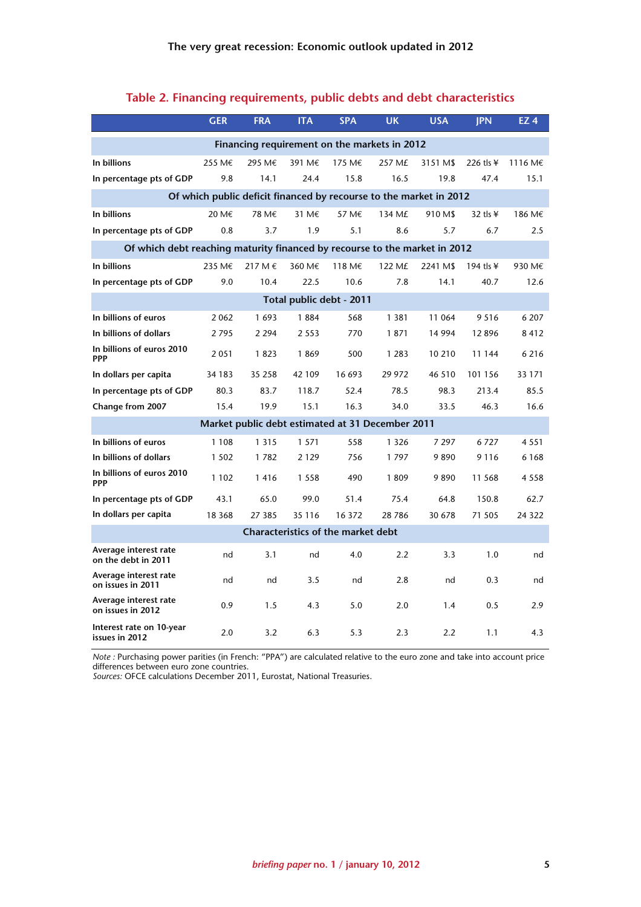|                                                                            | <b>GER</b> | <b>FRA</b> | <b>ITA</b>                                | <b>SPA</b> | <b>UK</b>                                        | <b>USA</b> | <b>IPN</b>       | EZ <sub>4</sub> |
|----------------------------------------------------------------------------|------------|------------|-------------------------------------------|------------|--------------------------------------------------|------------|------------------|-----------------|
|                                                                            |            |            |                                           |            | Financing requirement on the markets in 2012     |            |                  |                 |
| In billions                                                                | 255 M€     | 295 M€     | 391 M€                                    | 175 M€     | 257 M£                                           | 3151 M\$   | 226 tls ¥        | 1116 M€         |
| In percentage pts of GDP                                                   | 9.8        | 14.1       | 24.4                                      | 15.8       | 16.5                                             | 19.8       | 47.4             | 15.1            |
| Of which public deficit financed by recourse to the market in 2012         |            |            |                                           |            |                                                  |            |                  |                 |
| In billions                                                                | 20 M€      | 78 M€      | 31 M€                                     | 57 M€      | 134 M£                                           | 910 M\$    | 32 tls $\angle$  | 186 M€          |
| In percentage pts of GDP                                                   | 0.8        | 3.7        | 1.9                                       | 5.1        | 8.6                                              | 5.7        | 6.7              | 2.5             |
| Of which debt reaching maturity financed by recourse to the market in 2012 |            |            |                                           |            |                                                  |            |                  |                 |
| In billions                                                                | 235 M€     | 217 M €    | 360 M€                                    | 118 M€     | 122 M£                                           | 2241 M\$   | 194 tls $\angle$ | 930 M€          |
| In percentage pts of GDP                                                   | 9.0        | 10.4       | 22.5                                      | 10.6       | 7.8                                              | 14.1       | 40.7             | 12.6            |
|                                                                            |            |            | Total public debt - 2011                  |            |                                                  |            |                  |                 |
| In billions of euros                                                       | 2062       | 1693       | 1884                                      | 568        | 1 3 8 1                                          | 11 064     | 9 5 1 6          | 6 207           |
| In billions of dollars                                                     | 2795       | 2 2 9 4    | 2 5 5 3                                   | 770        | 1871                                             | 14 9 94    | 12896            | 8412            |
| In billions of euros 2010<br><b>PPP</b>                                    | 2051       | 1823       | 1869                                      | 500        | 1 2 8 3                                          | 10 210     | 11 144           | 6 2 1 6         |
| In dollars per capita                                                      | 34 183     | 35 258     | 42 109                                    | 16 693     | 29 972                                           | 46 510     | 101 156          | 33 1 7 1        |
| In percentage pts of GDP                                                   | 80.3       | 83.7       | 118.7                                     | 52.4       | 78.5                                             | 98.3       | 213.4            | 85.5            |
| Change from 2007                                                           | 15.4       | 19.9       | 15.1                                      | 16.3       | 34.0                                             | 33.5       | 46.3             | 16.6            |
|                                                                            |            |            |                                           |            | Market public debt estimated at 31 December 2011 |            |                  |                 |
| In billions of euros                                                       | 1 1 0 8    | 1 3 1 5    | 1 5 7 1                                   | 558        | 1 3 2 6                                          | 7 297      | 6727             | 4 5 5 1         |
| In billions of dollars                                                     | 1 5 0 2    | 1782       | 2 1 2 9                                   | 756        | 1797                                             | 9890       | 9 1 1 6          | 6 1 6 8         |
| In billions of euros 2010<br><b>PPP</b>                                    | 1 1 0 2    | 1416       | 1 5 5 8                                   | 490        | 1809                                             | 9890       | 11 568           | 4 5 5 8         |
| In percentage pts of GDP                                                   | 43.1       | 65.0       | 99.0                                      | 51.4       | 75.4                                             | 64.8       | 150.8            | 62.7            |
| In dollars per capita                                                      | 18 3 68    | 27 385     | 35 116                                    | 16 372     | 28 7 8 6                                         | 30 678     | 71 505           | 24 3 22         |
|                                                                            |            |            | <b>Characteristics of the market debt</b> |            |                                                  |            |                  |                 |
| Average interest rate<br>on the debt in 2011                               | nd         | 3.1        | nd                                        | 4.0        | 2.2                                              | 3.3        | 1.0              | nd              |
| Average interest rate<br>on issues in 2011                                 | nd         | nd         | 3.5                                       | nd         | 2.8                                              | nd         | 0.3              | nd              |
| Average interest rate<br>on issues in 2012                                 | 0.9        | 1.5        | 4.3                                       | 5.0        | 2.0                                              | 1.4        | 0.5              | 2.9             |
| Interest rate on 10-year<br>issues in 2012                                 | 2.0        | 3.2        | 6.3                                       | 5.3        | 2.3                                              | 2.2        | 1.1              | 4.3             |

#### **Table 2. Financing requirements, public debts and debt characteristics**

*Note :* Purchasing power parities (in French: "PPA") are calculated relative to the euro zone and take into account price differences between euro zone countries.

*Sources:* OFCE calculations December 2011, Eurostat, National Treasuries.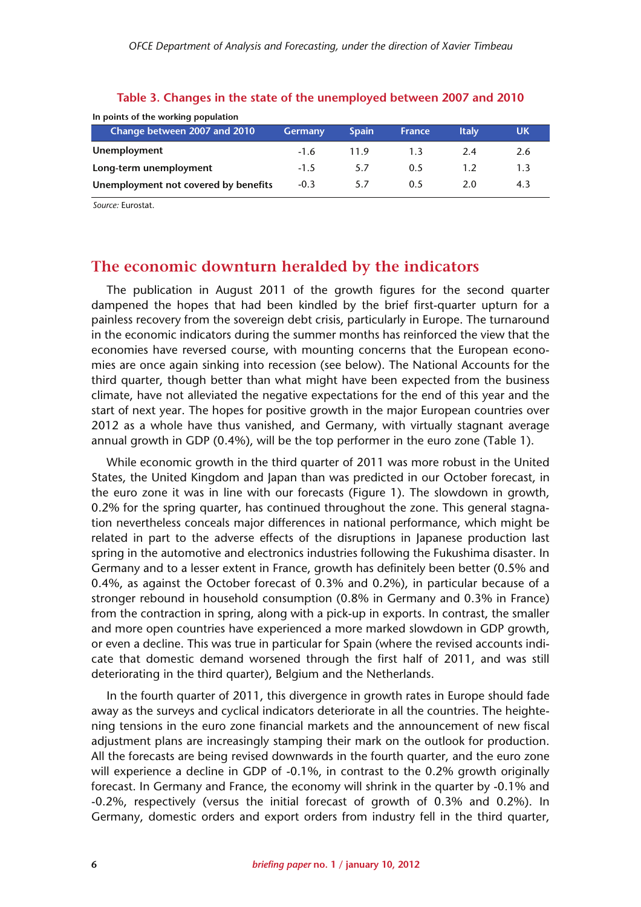| In points of the working population  |                |              |               |              |     |  |  |  |
|--------------------------------------|----------------|--------------|---------------|--------------|-----|--|--|--|
| Change between 2007 and 2010         | <b>Germany</b> | <b>Spain</b> | <b>France</b> | <b>Italy</b> | UK  |  |  |  |
| Unemployment                         | $-1.6$         | 119          |               | 2.4          | 2.6 |  |  |  |
| Long-term unemployment               | $-1.5$         | 5.7          | 0.5           | 1.2          | 1.3 |  |  |  |
| Unemployment not covered by benefits | $-0.3$         | 5.7          | 0.5           | 2.0          | 4.3 |  |  |  |

#### **Table 3. Changes in the state of the unemployed between 2007 and 2010**

*Source:* Eurostat.

## **The economic downturn heralded by the indicators**

The publication in August 2011 of the growth figures for the second quarter dampened the hopes that had been kindled by the brief first-quarter upturn for a painless recovery from the sovereign debt crisis, particularly in Europe. The turnaround in the economic indicators during the summer months has reinforced the view that the economies have reversed course, with mounting concerns that the European economies are once again sinking into recession (see below). The National Accounts for the third quarter, though better than what might have been expected from the business climate, have not alleviated the negative expectations for the end of this year and the start of next year. The hopes for positive growth in the major European countries over 2012 as a whole have thus vanished, and Germany, with virtually stagnant average annual growth in GDP (0.4%), will be the top performer in the euro zone (Table 1).

While economic growth in the third quarter of 2011 was more robust in the United States, the United Kingdom and Japan than was predicted in our October forecast, in the euro zone it was in line with our forecasts (Figure 1). The slowdown in growth, 0.2% for the spring quarter, has continued throughout the zone. This general stagnation nevertheless conceals major differences in national performance, which might be related in part to the adverse effects of the disruptions in Japanese production last spring in the automotive and electronics industries following the Fukushima disaster. In Germany and to a lesser extent in France, growth has definitely been better (0.5% and 0.4%, as against the October forecast of 0.3% and 0.2%), in particular because of a stronger rebound in household consumption (0.8% in Germany and 0.3% in France) from the contraction in spring, along with a pick-up in exports. In contrast, the smaller and more open countries have experienced a more marked slowdown in GDP growth, or even a decline. This was true in particular for Spain (where the revised accounts indicate that domestic demand worsened through the first half of 2011, and was still deteriorating in the third quarter), Belgium and the Netherlands.

In the fourth quarter of 2011, this divergence in growth rates in Europe should fade away as the surveys and cyclical indicators deteriorate in all the countries. The heightening tensions in the euro zone financial markets and the announcement of new fiscal adjustment plans are increasingly stamping their mark on the outlook for production. All the forecasts are being revised downwards in the fourth quarter, and the euro zone will experience a decline in GDP of -0.1%, in contrast to the 0.2% growth originally forecast. In Germany and France, the economy will shrink in the quarter by -0.1% and -0.2%, respectively (versus the initial forecast of growth of 0.3% and 0.2%). In Germany, domestic orders and export orders from industry fell in the third quarter,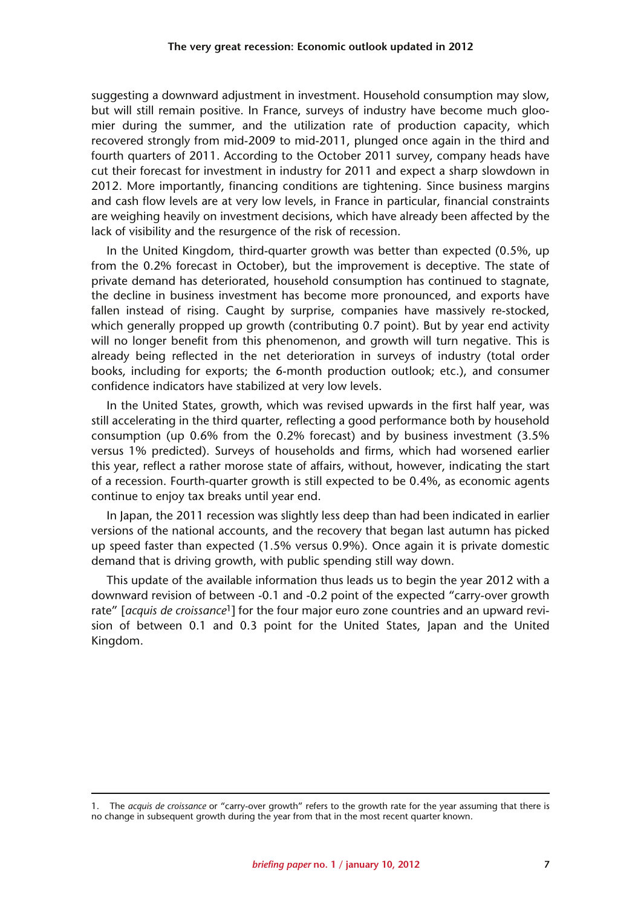suggesting a downward adjustment in investment. Household consumption may slow, but will still remain positive. In France, surveys of industry have become much gloomier during the summer, and the utilization rate of production capacity, which recovered strongly from mid-2009 to mid-2011, plunged once again in the third and fourth quarters of 2011. According to the October 2011 survey, company heads have cut their forecast for investment in industry for 2011 and expect a sharp slowdown in 2012. More importantly, financing conditions are tightening. Since business margins and cash flow levels are at very low levels, in France in particular, financial constraints are weighing heavily on investment decisions, which have already been affected by the lack of visibility and the resurgence of the risk of recession.

In the United Kingdom, third-quarter growth was better than expected (0.5%, up from the 0.2% forecast in October), but the improvement is deceptive. The state of private demand has deteriorated, household consumption has continued to stagnate, the decline in business investment has become more pronounced, and exports have fallen instead of rising. Caught by surprise, companies have massively re-stocked, which generally propped up growth (contributing 0.7 point). But by year end activity will no longer benefit from this phenomenon, and growth will turn negative. This is already being reflected in the net deterioration in surveys of industry (total order books, including for exports; the 6-month production outlook; etc.), and consumer confidence indicators have stabilized at very low levels.

In the United States, growth, which was revised upwards in the first half year, was still accelerating in the third quarter, reflecting a good performance both by household consumption (up 0.6% from the 0.2% forecast) and by business investment (3.5% versus 1% predicted). Surveys of households and firms, which had worsened earlier this year, reflect a rather morose state of affairs, without, however, indicating the start of a recession. Fourth-quarter growth is still expected to be 0.4%, as economic agents continue to enjoy tax breaks until year end.

In Japan, the 2011 recession was slightly less deep than had been indicated in earlier versions of the national accounts, and the recovery that began last autumn has picked up speed faster than expected (1.5% versus 0.9%). Once again it is private domestic demand that is driving growth, with public spending still way down.

This update of the available information thus leads us to begin the year 2012 with a downward revision of between -0.1 and -0.2 point of the expected "carry-over growth rate" [*acquis de croissance*1] for the four major euro zone countries and an upward revision of between 0.1 and 0.3 point for the United States, Japan and the United Kingdom.

<sup>1.</sup> The *acquis de croissance* or "carry-over growth" refers to the growth rate for the year assuming that there is no change in subsequent growth during the year from that in the most recent quarter known.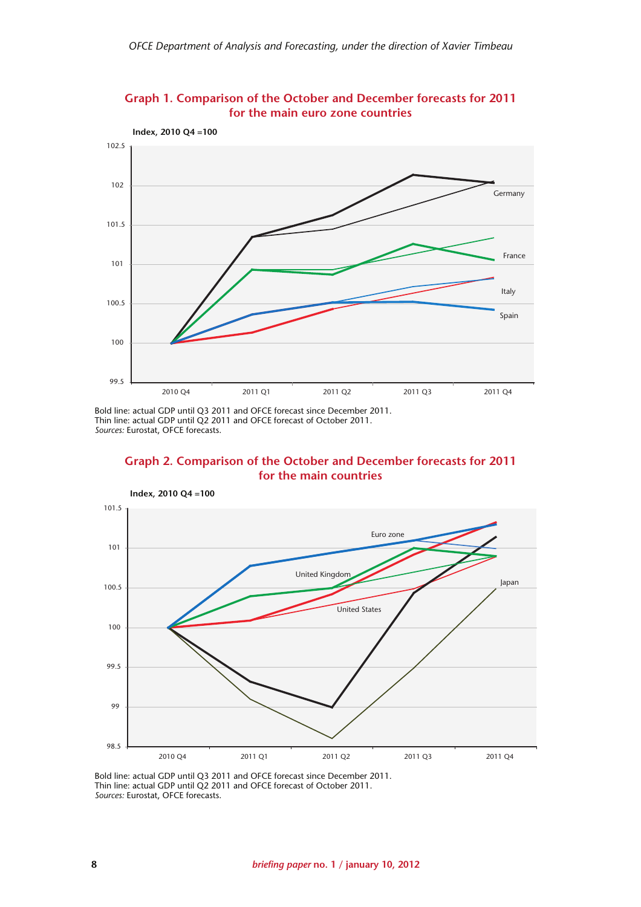

**Graph 1. Comparison of the October and December forecasts for 2011 for the main euro zone countries**

Bold line: actual GDP until Q3 2011 and OFCE forecast since December 2011. Thin line: actual GDP until Q2 2011 and OFCE forecast of October 2011. *Sources:* Eurostat, OFCE forecasts.





Bold line: actual GDP until Q3 2011 and OFCE forecast since December 2011. Thin line: actual GDP until Q2 2011 and OFCE forecast of October 2011. *Sources:* Eurostat, OFCE forecasts.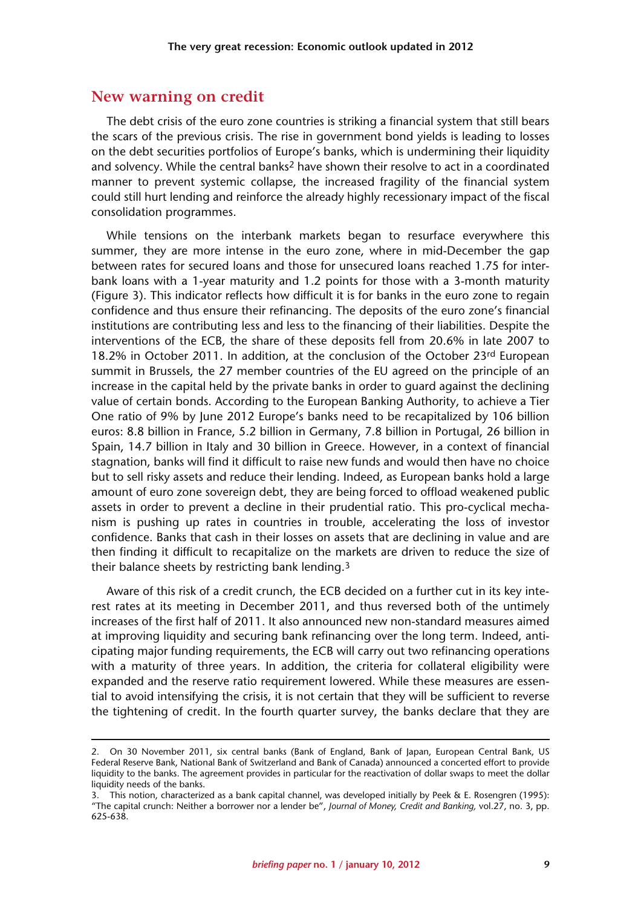#### **New warning on credit**

The debt crisis of the euro zone countries is striking a financial system that still bears the scars of the previous crisis. The rise in government bond yields is leading to losses on the debt securities portfolios of Europe's banks, which is undermining their liquidity and solvency. While the central banks<sup>2</sup> have shown their resolve to act in a coordinated manner to prevent systemic collapse, the increased fragility of the financial system could still hurt lending and reinforce the already highly recessionary impact of the fiscal consolidation programmes.

While tensions on the interbank markets began to resurface everywhere this summer, they are more intense in the euro zone, where in mid-December the gap between rates for secured loans and those for unsecured loans reached 1.75 for interbank loans with a 1-year maturity and 1.2 points for those with a 3-month maturity (Figure 3). This indicator reflects how difficult it is for banks in the euro zone to regain confidence and thus ensure their refinancing. The deposits of the euro zone's financial institutions are contributing less and less to the financing of their liabilities. Despite the interventions of the ECB, the share of these deposits fell from 20.6% in late 2007 to 18.2% in October 2011. In addition, at the conclusion of the October 23rd European summit in Brussels, the 27 member countries of the EU agreed on the principle of an increase in the capital held by the private banks in order to guard against the declining value of certain bonds. According to the European Banking Authority, to achieve a Tier One ratio of 9% by June 2012 Europe's banks need to be recapitalized by 106 billion euros: 8.8 billion in France, 5.2 billion in Germany, 7.8 billion in Portugal, 26 billion in Spain, 14.7 billion in Italy and 30 billion in Greece. However, in a context of financial stagnation, banks will find it difficult to raise new funds and would then have no choice but to sell risky assets and reduce their lending. Indeed, as European banks hold a large amount of euro zone sovereign debt, they are being forced to offload weakened public assets in order to prevent a decline in their prudential ratio. This pro-cyclical mechanism is pushing up rates in countries in trouble, accelerating the loss of investor confidence. Banks that cash in their losses on assets that are declining in value and are then finding it difficult to recapitalize on the markets are driven to reduce the size of their balance sheets by restricting bank lending.3

Aware of this risk of a credit crunch, the ECB decided on a further cut in its key interest rates at its meeting in December 2011, and thus reversed both of the untimely increases of the first half of 2011. It also announced new non-standard measures aimed at improving liquidity and securing bank refinancing over the long term. Indeed, anticipating major funding requirements, the ECB will carry out two refinancing operations with a maturity of three years. In addition, the criteria for collateral eligibility were expanded and the reserve ratio requirement lowered. While these measures are essential to avoid intensifying the crisis, it is not certain that they will be sufficient to reverse the tightening of credit. In the fourth quarter survey, the banks declare that they are

<sup>2.</sup> On 30 November 2011, six central banks (Bank of England, Bank of Japan, European Central Bank, US Federal Reserve Bank, National Bank of Switzerland and Bank of Canada) announced a concerted effort to provide liquidity to the banks. The agreement provides in particular for the reactivation of dollar swaps to meet the dollar liquidity needs of the banks.

<sup>3.</sup> This notion, characterized as a bank capital channel, was developed initially by Peek & E. Rosengren (1995): "The capital crunch: Neither a borrower nor a lender be", *Journal of Money, Credit and Banking,* vol.27, no. 3, pp. 625-638.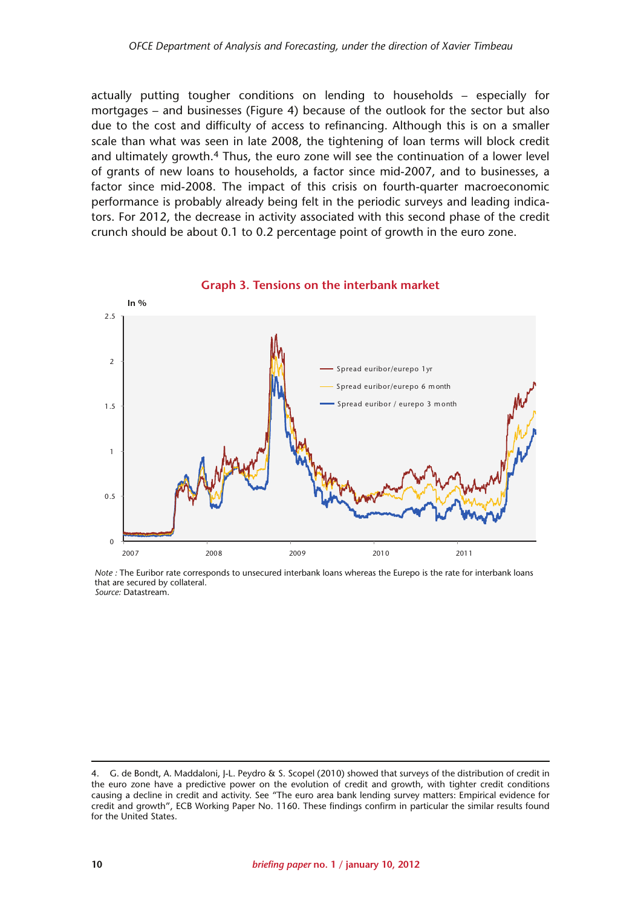actually putting tougher conditions on lending to households – especially for mortgages – and businesses (Figure 4) because of the outlook for the sector but also due to the cost and difficulty of access to refinancing. Although this is on a smaller scale than what was seen in late 2008, the tightening of loan terms will block credit and ultimately growth.4 Thus, the euro zone will see the continuation of a lower level of grants of new loans to households, a factor since mid-2007, and to businesses, a factor since mid-2008. The impact of this crisis on fourth-quarter macroeconomic performance is probably already being felt in the periodic surveys and leading indicators. For 2012, the decrease in activity associated with this second phase of the credit crunch should be about 0.1 to 0.2 percentage point of growth in the euro zone.



*Note :* The Euribor rate corresponds to unsecured interbank loans whereas the Eurepo is the rate for interbank loans that are secured by collateral. *Source:* Datastream.

<sup>4.</sup> G. de Bondt, A. Maddaloni, J-L. Peydro & S. Scopel (2010) showed that surveys of the distribution of credit in the euro zone have a predictive power on the evolution of credit and growth, with tighter credit conditions causing a decline in credit and activity. See "The euro area bank lending survey matters: Empirical evidence for credit and growth", ECB Working Paper No. 1160. These findings confirm in particular the similar results found for the United States.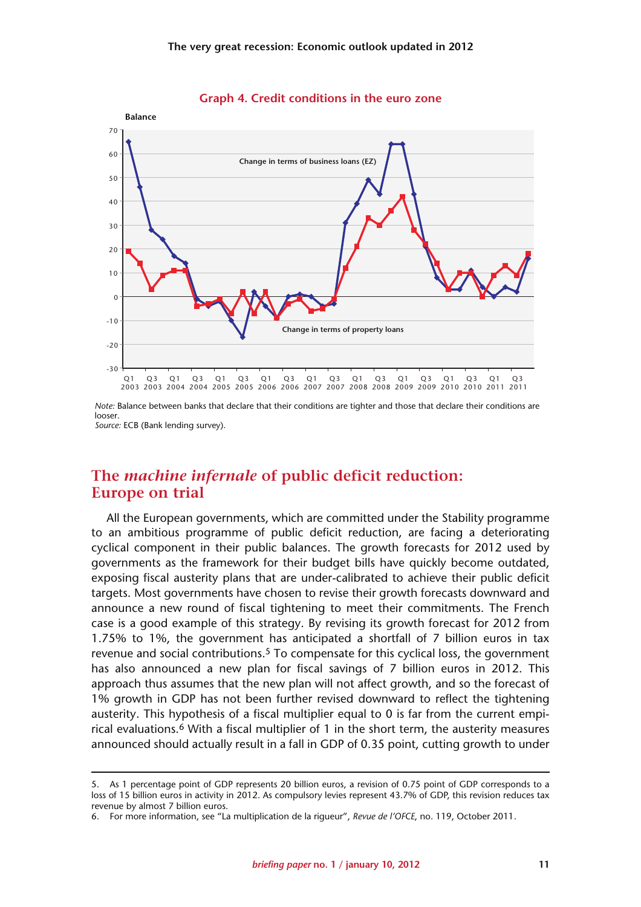

**Graph 4. Credit conditions in the euro zone**

*Source:* ECB (Bank lending survey).

## **The** *machine infernale* **of public deficit reduction: Europe on trial**

All the European governments, which are committed under the Stability programme to an ambitious programme of public deficit reduction, are facing a deteriorating cyclical component in their public balances. The growth forecasts for 2012 used by governments as the framework for their budget bills have quickly become outdated, exposing fiscal austerity plans that are under-calibrated to achieve their public deficit targets. Most governments have chosen to revise their growth forecasts downward and announce a new round of fiscal tightening to meet their commitments. The French case is a good example of this strategy. By revising its growth forecast for 2012 from 1.75% to 1%, the government has anticipated a shortfall of 7 billion euros in tax revenue and social contributions.<sup>5</sup> To compensate for this cyclical loss, the government has also announced a new plan for fiscal savings of 7 billion euros in 2012. This approach thus assumes that the new plan will not affect growth, and so the forecast of 1% growth in GDP has not been further revised downward to reflect the tightening austerity. This hypothesis of a fiscal multiplier equal to 0 is far from the current empirical evaluations.6 With a fiscal multiplier of 1 in the short term, the austerity measures announced should actually result in a fall in GDP of 0.35 point, cutting growth to under

*Note:* Balance between banks that declare that their conditions are tighter and those that declare their conditions are looser.

<sup>5.</sup> As 1 percentage point of GDP represents 20 billion euros, a revision of 0.75 point of GDP corresponds to a loss of 15 billion euros in activity in 2012. As compulsory levies represent 43.7% of GDP, this revision reduces tax revenue by almost 7 billion euros.

<sup>6.</sup> For more information, see "La multiplication de la rigueur", *Revue de l'OFCE*, no. 119, October 2011.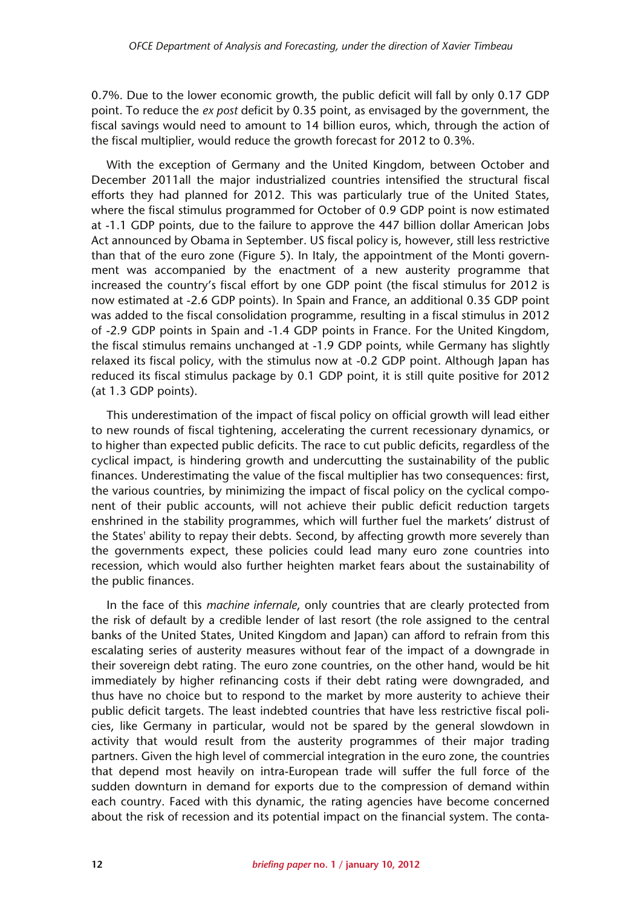0.7%. Due to the lower economic growth, the public deficit will fall by only 0.17 GDP point. To reduce the *ex post* deficit by 0.35 point, as envisaged by the government, the fiscal savings would need to amount to 14 billion euros, which, through the action of the fiscal multiplier, would reduce the growth forecast for 2012 to 0.3%.

With the exception of Germany and the United Kingdom, between October and December 2011all the major industrialized countries intensified the structural fiscal efforts they had planned for 2012. This was particularly true of the United States, where the fiscal stimulus programmed for October of 0.9 GDP point is now estimated at -1.1 GDP points, due to the failure to approve the 447 billion dollar American Jobs Act announced by Obama in September. US fiscal policy is, however, still less restrictive than that of the euro zone (Figure 5). In Italy, the appointment of the Monti government was accompanied by the enactment of a new austerity programme that increased the country's fiscal effort by one GDP point (the fiscal stimulus for 2012 is now estimated at -2.6 GDP points). In Spain and France, an additional 0.35 GDP point was added to the fiscal consolidation programme, resulting in a fiscal stimulus in 2012 of -2.9 GDP points in Spain and -1.4 GDP points in France. For the United Kingdom, the fiscal stimulus remains unchanged at -1.9 GDP points, while Germany has slightly relaxed its fiscal policy, with the stimulus now at -0.2 GDP point. Although Japan has reduced its fiscal stimulus package by 0.1 GDP point, it is still quite positive for 2012 (at 1.3 GDP points).

This underestimation of the impact of fiscal policy on official growth will lead either to new rounds of fiscal tightening, accelerating the current recessionary dynamics, or to higher than expected public deficits. The race to cut public deficits, regardless of the cyclical impact, is hindering growth and undercutting the sustainability of the public finances. Underestimating the value of the fiscal multiplier has two consequences: first, the various countries, by minimizing the impact of fiscal policy on the cyclical component of their public accounts, will not achieve their public deficit reduction targets enshrined in the stability programmes, which will further fuel the markets' distrust of the States' ability to repay their debts. Second, by affecting growth more severely than the governments expect, these policies could lead many euro zone countries into recession, which would also further heighten market fears about the sustainability of the public finances.

In the face of this *machine infernale*, only countries that are clearly protected from the risk of default by a credible lender of last resort (the role assigned to the central banks of the United States, United Kingdom and Japan) can afford to refrain from this escalating series of austerity measures without fear of the impact of a downgrade in their sovereign debt rating. The euro zone countries, on the other hand, would be hit immediately by higher refinancing costs if their debt rating were downgraded, and thus have no choice but to respond to the market by more austerity to achieve their public deficit targets. The least indebted countries that have less restrictive fiscal policies, like Germany in particular, would not be spared by the general slowdown in activity that would result from the austerity programmes of their major trading partners. Given the high level of commercial integration in the euro zone, the countries that depend most heavily on intra-European trade will suffer the full force of the sudden downturn in demand for exports due to the compression of demand within each country. Faced with this dynamic, the rating agencies have become concerned about the risk of recession and its potential impact on the financial system. The conta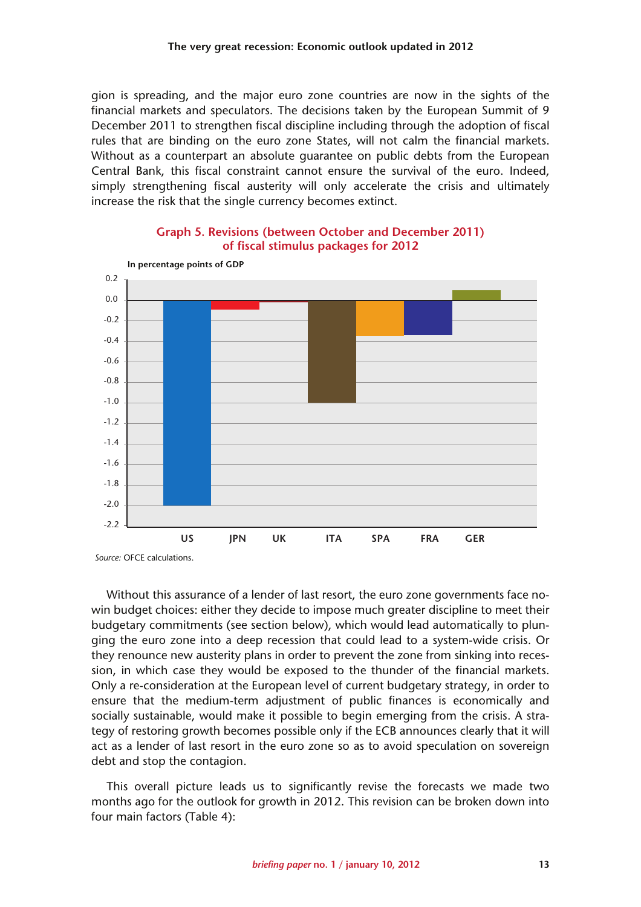gion is spreading, and the major euro zone countries are now in the sights of the financial markets and speculators. The decisions taken by the European Summit of 9 December 2011 to strengthen fiscal discipline including through the adoption of fiscal rules that are binding on the euro zone States, will not calm the financial markets. Without as a counterpart an absolute guarantee on public debts from the European Central Bank, this fiscal constraint cannot ensure the survival of the euro. Indeed, simply strengthening fiscal austerity will only accelerate the crisis and ultimately increase the risk that the single currency becomes extinct.



#### **Graph 5. Revisions (between October and December 2011) of fiscal stimulus packages for 2012**

Without this assurance of a lender of last resort, the euro zone governments face nowin budget choices: either they decide to impose much greater discipline to meet their budgetary commitments (see section below), which would lead automatically to plunging the euro zone into a deep recession that could lead to a system-wide crisis. Or they renounce new austerity plans in order to prevent the zone from sinking into recession, in which case they would be exposed to the thunder of the financial markets. Only a re-consideration at the European level of current budgetary strategy, in order to ensure that the medium-term adjustment of public finances is economically and socially sustainable, would make it possible to begin emerging from the crisis. A strategy of restoring growth becomes possible only if the ECB announces clearly that it will act as a lender of last resort in the euro zone so as to avoid speculation on sovereign debt and stop the contagion.

This overall picture leads us to significantly revise the forecasts we made two months ago for the outlook for growth in 2012. This revision can be broken down into four main factors (Table 4):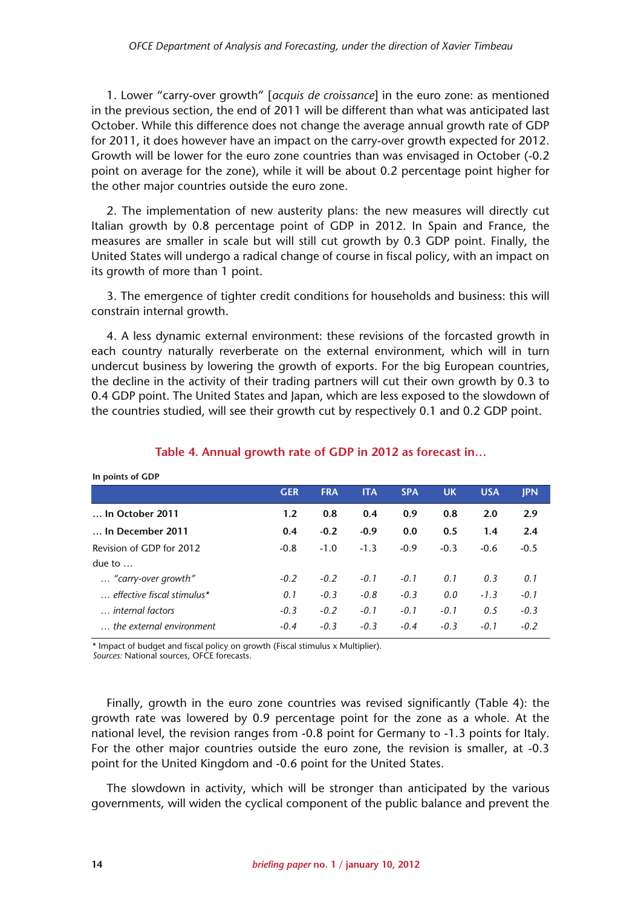1. Lower "carry-over growth" [*acquis de croissance*] in the euro zone: as mentioned in the previous section, the end of 2011 will be different than what was anticipated last October. While this difference does not change the average annual growth rate of GDP for 2011, it does however have an impact on the carry-over growth expected for 2012. Growth will be lower for the euro zone countries than was envisaged in October (-0.2 point on average for the zone), while it will be about 0.2 percentage point higher for the other major countries outside the euro zone.

2. The implementation of new austerity plans: the new measures will directly cut Italian growth by 0.8 percentage point of GDP in 2012. In Spain and France, the measures are smaller in scale but will still cut growth by 0.3 GDP point. Finally, the United States will undergo a radical change of course in fiscal policy, with an impact on its growth of more than 1 point.

3. The emergence of tighter credit conditions for households and business: this will constrain internal growth.

4. A less dynamic external environment: these revisions of the forcasted growth in each country naturally reverberate on the external environment, which will in turn undercut business by lowering the growth of exports. For the big European countries, the decline in the activity of their trading partners will cut their own growth by 0.3 to 0.4 GDP point. The United States and Japan, which are less exposed to the slowdown of the countries studied, will see their growth cut by respectively 0.1 and 0.2 GDP point.

| <b>III PUILLS UL ULL</b>   |            |            |            |            |           |            |            |
|----------------------------|------------|------------|------------|------------|-----------|------------|------------|
|                            | <b>GER</b> | <b>FRA</b> | <b>ITA</b> | <b>SPA</b> | <b>UK</b> | <b>USA</b> | <b>IPN</b> |
| In October 2011            | 1.2        | 0.8        | 0.4        | 0.9        | 0.8       | 2.0        | 2.9        |
| In December 2011           | 0.4        | $-0.2$     | $-0.9$     | 0.0        | 0.5       | 1.4        | 2.4        |
| Revision of GDP for 2012   | $-0.8$     | $-1.0$     | $-1.3$     | $-0.9$     | $-0.3$    | $-0.6$     | $-0.5$     |
| due to $\dots$             |            |            |            |            |           |            |            |
| "carry-over growth"        | $-0.2$     | $-0.2$     | $-0.1$     | $-0.1$     | 0.1       | 0.3        | 0.1        |
| effective fiscal stimulus* | 0.1        | $-0.3$     | $-0.8$     | $-0.3$     | 0.0       | $-1.3$     | $-0.1$     |
| internal factors           | $-0.3$     | $-0.2$     | $-0.1$     | $-0.1$     | $-0.1$    | 0.5        | $-0.3$     |
| the external environment   | $-0.4$     | $-0.3$     | $-0.3$     | $-0.4$     | $-0.3$    | $-0.1$     | $-0.2$     |
|                            |            |            |            |            |           |            |            |

#### **Table 4. Annual growth rate of GDP in 2012 as forecast in…**

\* Impact of budget and fiscal policy on growth (Fiscal stimulus x Multiplier).

*Sources:* National sources, OFCE forecasts.

**In points of GDP**

Finally, growth in the euro zone countries was revised significantly (Table 4): the growth rate was lowered by 0.9 percentage point for the zone as a whole. At the national level, the revision ranges from -0.8 point for Germany to -1.3 points for Italy. For the other major countries outside the euro zone, the revision is smaller, at -0.3 point for the United Kingdom and -0.6 point for the United States.

The slowdown in activity, which will be stronger than anticipated by the various governments, will widen the cyclical component of the public balance and prevent the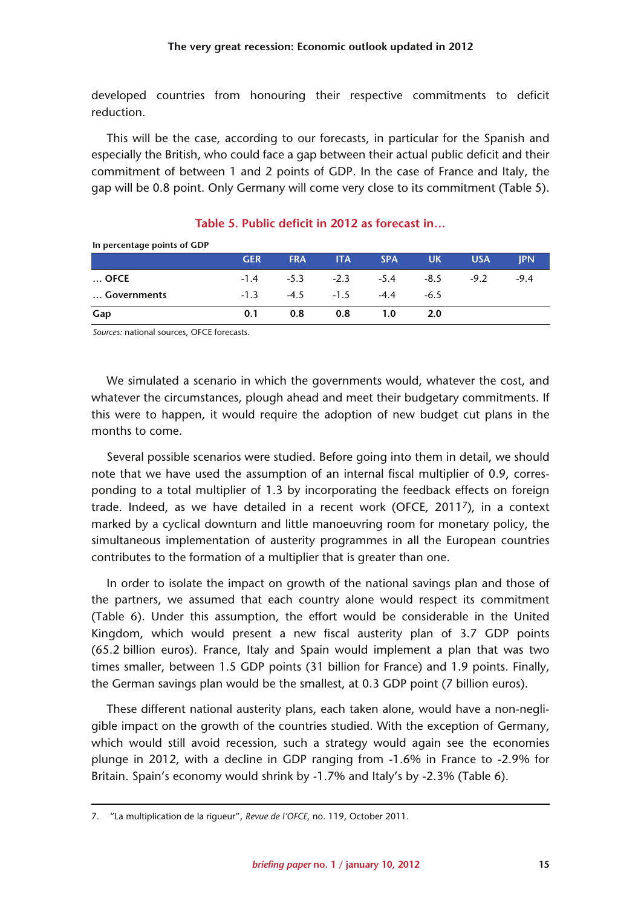developed countries from honouring their respective commitments to deficit reduction.

This will be the case, according to our forecasts, in particular for the Spanish and especially the British, who could face a gap between their actual public deficit and their commitment of between 1 and 2 points of GDP. In the case of France and Italy, the gap will be 0.8 point. Only Germany will come very close to its commitment (Table 5).

| <b>III percentage points of ODT</b> |            |            |                             |            |            |            |            |
|-------------------------------------|------------|------------|-----------------------------|------------|------------|------------|------------|
|                                     | <b>GER</b> | <b>FRA</b> | <b>ITA</b>                  | <b>SPA</b> | <b>UK</b>  | <b>USA</b> | <b>IPN</b> |
| $\ldots$ OFCE                       |            |            | $-1.4$ $-5.3$ $-2.3$ $-5.4$ |            | -8.5       | $-9.2$     | $-9.4$     |
| Governments                         | $-1.3$     |            | $-4.5$ $-1.5$ $-4.4$        |            | $-6.5$     |            |            |
| Gap                                 | 0.1        | 0.8        | 0.8                         | 1.0        | <b>2.0</b> |            |            |

#### **Table 5. Public deficit in 2012 as forecast in…**

*Sources:* national sources, OFCE forecasts.

**In percentage points of GDP**

We simulated a scenario in which the governments would, whatever the cost, and whatever the circumstances, plough ahead and meet their budgetary commitments. If this were to happen, it would require the adoption of new budget cut plans in the months to come.

Several possible scenarios were studied. Before going into them in detail, we should note that we have used the assumption of an internal fiscal multiplier of 0.9, corresponding to a total multiplier of 1.3 by incorporating the feedback effects on foreign trade. Indeed, as we have detailed in a recent work (OFCE, 20117), in a context marked by a cyclical downturn and little manoeuvring room for monetary policy, the simultaneous implementation of austerity programmes in all the European countries contributes to the formation of a multiplier that is greater than one.

In order to isolate the impact on growth of the national savings plan and those of the partners, we assumed that each country alone would respect its commitment (Table 6). Under this assumption, the effort would be considerable in the United Kingdom, which would present a new fiscal austerity plan of 3.7 GDP points (65.2 billion euros). France, Italy and Spain would implement a plan that was two times smaller, between 1.5 GDP points (31 billion for France) and 1.9 points. Finally, the German savings plan would be the smallest, at 0.3 GDP point (7 billion euros).

These different national austerity plans, each taken alone, would have a non-negligible impact on the growth of the countries studied. With the exception of Germany, which would still avoid recession, such a strategy would again see the economies plunge in 2012, with a decline in GDP ranging from -1.6% in France to -2.9% for Britain. Spain's economy would shrink by -1.7% and Italy's by -2.3% (Table 6).

<sup>7. &</sup>quot;La multiplication de la rigueur", *Revue de l'OFCE*, no. 119, October 2011.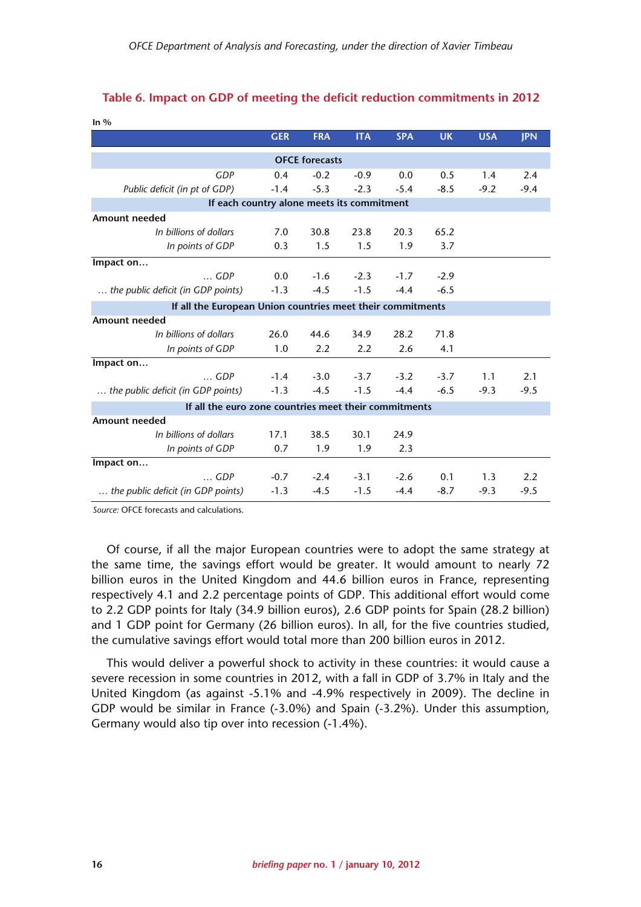| In $\%$                                                    |                       |            |            |            |           |            |            |  |  |  |  |
|------------------------------------------------------------|-----------------------|------------|------------|------------|-----------|------------|------------|--|--|--|--|
|                                                            | <b>GER</b>            | <b>FRA</b> | <b>ITA</b> | <b>SPA</b> | <b>UK</b> | <b>USA</b> | <b>IPN</b> |  |  |  |  |
|                                                            | <b>OFCE</b> forecasts |            |            |            |           |            |            |  |  |  |  |
| <b>GDP</b>                                                 | 0.4                   | $-0.2$     | $-0.9$     | 0.0        | 0.5       | 1.4        | 2.4        |  |  |  |  |
| Public deficit (in pt of GDP)                              | $-1.4$                | $-5.3$     | $-2.3$     | $-5.4$     | $-8.5$    | $-9.2$     | $-9.4$     |  |  |  |  |
| If each country alone meets its commitment                 |                       |            |            |            |           |            |            |  |  |  |  |
| Amount needed                                              |                       |            |            |            |           |            |            |  |  |  |  |
| In billions of dollars                                     | 7.0                   | 30.8       | 23.8       | 20.3       | 65.2      |            |            |  |  |  |  |
| In points of GDP                                           | 0.3                   | 1.5        | 1.5        | 1.9        | 3.7       |            |            |  |  |  |  |
| Impact on                                                  |                       |            |            |            |           |            |            |  |  |  |  |
| $\ldots$ GDP                                               | 0.0                   | $-1.6$     | $-2.3$     | $-1.7$     | $-2.9$    |            |            |  |  |  |  |
| the public deficit (in GDP points)                         | $-1.3$                | $-4.5$     | $-1.5$     | $-4.4$     | $-6.5$    |            |            |  |  |  |  |
| If all the European Union countries meet their commitments |                       |            |            |            |           |            |            |  |  |  |  |
| <b>Amount needed</b>                                       |                       |            |            |            |           |            |            |  |  |  |  |
| In billions of dollars                                     | 26.0                  | 44.6       | 34.9       | 28.2       | 71.8      |            |            |  |  |  |  |
| In points of GDP                                           | 1.0                   | 2.2        | 2.2        | 2.6        | 4.1       |            |            |  |  |  |  |
| Impact on                                                  |                       |            |            |            |           |            |            |  |  |  |  |
| $\ldots$ GDP                                               | $-1.4$                | $-3.0$     | $-3.7$     | $-3.2$     | $-3.7$    | 1.1        | 2.1        |  |  |  |  |
| the public deficit (in GDP points)                         | $-1.3$                | $-4.5$     | $-1.5$     | $-4.4$     | $-6.5$    | $-9.3$     | $-9.5$     |  |  |  |  |
| If all the euro zone countries meet their commitments      |                       |            |            |            |           |            |            |  |  |  |  |
| <b>Amount needed</b>                                       |                       |            |            |            |           |            |            |  |  |  |  |
| In billions of dollars                                     | 17.1                  | 38.5       | 30.1       | 24.9       |           |            |            |  |  |  |  |
| In points of GDP                                           | 0.7                   | 1.9        | 1.9        | 2.3        |           |            |            |  |  |  |  |
| Impact on                                                  |                       |            |            |            |           |            |            |  |  |  |  |
| $\ldots$ GDP                                               | $-0.7$                | $-2.4$     | $-3.1$     | $-2.6$     | 0.1       | 1.3        | 2.2        |  |  |  |  |
| the public deficit (in GDP points)                         | $-1.3$                | $-4.5$     | $-1.5$     | $-4.4$     | $-8.7$    | $-9.3$     | $-9.5$     |  |  |  |  |

#### **Table 6. Impact on GDP of meeting the deficit reduction commitments in 2012**

*Source:* OFCE forecasts and calculations.

**In %**

Of course, if all the major European countries were to adopt the same strategy at the same time, the savings effort would be greater. It would amount to nearly 72 billion euros in the United Kingdom and 44.6 billion euros in France, representing respectively 4.1 and 2.2 percentage points of GDP. This additional effort would come to 2.2 GDP points for Italy (34.9 billion euros), 2.6 GDP points for Spain (28.2 billion) and 1 GDP point for Germany (26 billion euros). In all, for the five countries studied, the cumulative savings effort would total more than 200 billion euros in 2012.

This would deliver a powerful shock to activity in these countries: it would cause a severe recession in some countries in 2012, with a fall in GDP of 3.7% in Italy and the United Kingdom (as against -5.1% and -4.9% respectively in 2009). The decline in GDP would be similar in France (-3.0%) and Spain (-3.2%). Under this assumption, Germany would also tip over into recession (-1.4%).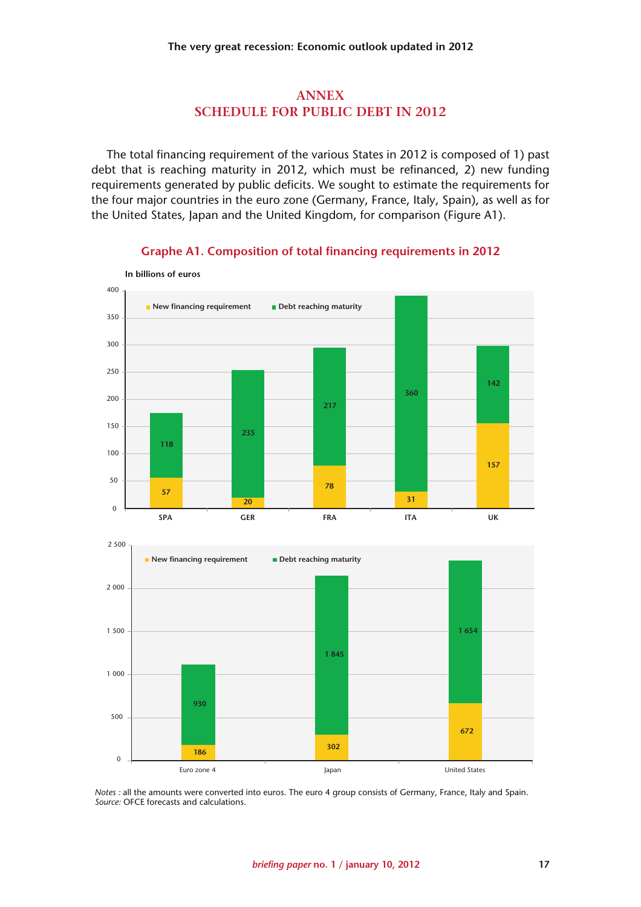#### **ANNEX SCHEDULE FOR PUBLIC DEBT IN 2012**

The total financing requirement of the various States in 2012 is composed of 1) past debt that is reaching maturity in 2012, which must be refinanced, 2) new funding requirements generated by public deficits. We sought to estimate the requirements for the four major countries in the euro zone (Germany, France, Italy, Spain), as well as for the United States, Japan and the United Kingdom, for comparison (Figure A1).



#### **Graphe A1. Composition of total financing requirements in 2012**



*Notes :* all the amounts were converted into euros. The euro 4 group consists of Germany, France, Italy and Spain. *Source:* OFCE forecasts and calculations.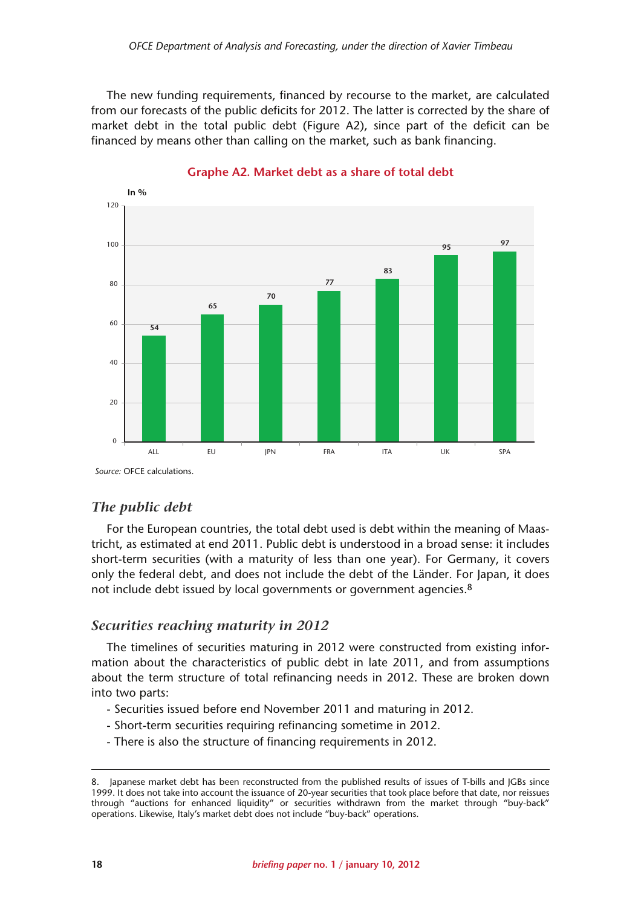The new funding requirements, financed by recourse to the market, are calculated from our forecasts of the public deficits for 2012. The latter is corrected by the share of market debt in the total public debt (Figure A2), since part of the deficit can be financed by means other than calling on the market, such as bank financing.



**Graphe A2. Market debt as a share of total debt**

*Source:* OFCE calculations.

#### *The public debt*

For the European countries, the total debt used is debt within the meaning of Maastricht, as estimated at end 2011. Public debt is understood in a broad sense: it includes short-term securities (with a maturity of less than one year). For Germany, it covers only the federal debt, and does not include the debt of the Länder. For Japan, it does not include debt issued by local governments or government agencies.<sup>8</sup>

#### *Securities reaching maturity in 2012*

The timelines of securities maturing in 2012 were constructed from existing information about the characteristics of public debt in late 2011, and from assumptions about the term structure of total refinancing needs in 2012. These are broken down into two parts:

- Securities issued before end November 2011 and maturing in 2012.
- Short-term securities requiring refinancing sometime in 2012.
- There is also the structure of financing requirements in 2012.

<sup>8.</sup> Japanese market debt has been reconstructed from the published results of issues of T-bills and JGBs since 1999. It does not take into account the issuance of 20-year securities that took place before that date, nor reissues through "auctions for enhanced liquidity" or securities withdrawn from the market through "buy-back" operations. Likewise, Italy's market debt does not include "buy-back" operations.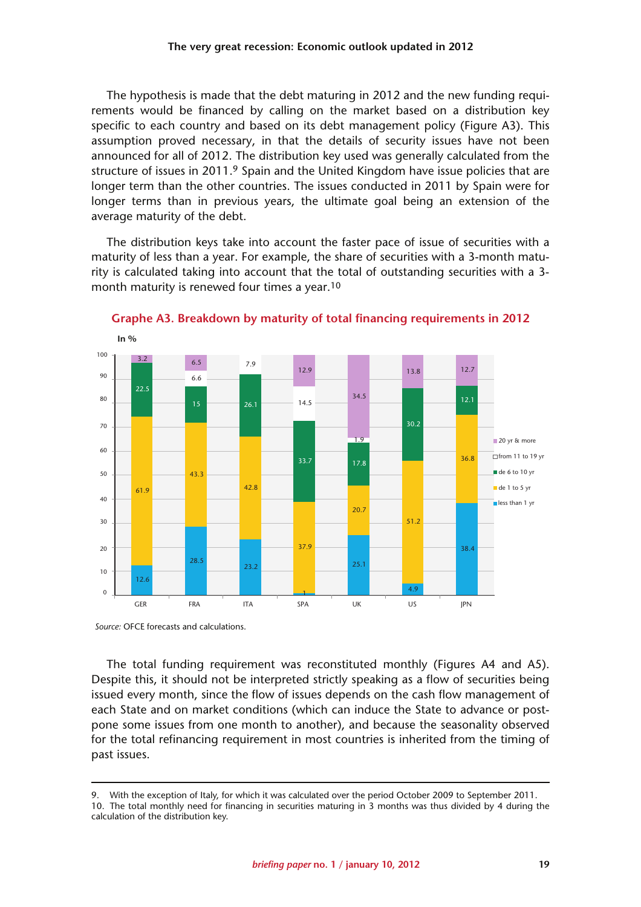The hypothesis is made that the debt maturing in 2012 and the new funding requirements would be financed by calling on the market based on a distribution key specific to each country and based on its debt management policy (Figure A3). This assumption proved necessary, in that the details of security issues have not been announced for all of 2012. The distribution key used was generally calculated from the structure of issues in 2011.<sup>9</sup> Spain and the United Kingdom have issue policies that are longer term than the other countries. The issues conducted in 2011 by Spain were for longer terms than in previous years, the ultimate goal being an extension of the average maturity of the debt.

The distribution keys take into account the faster pace of issue of securities with a maturity of less than a year. For example, the share of securities with a 3-month maturity is calculated taking into account that the total of outstanding securities with a 3 month maturity is renewed four times a year.10



**Graphe A3. Breakdown by maturity of total financing requirements in 2012**

*Source:* OFCE forecasts and calculations.

The total funding requirement was reconstituted monthly (Figures A4 and A5). Despite this, it should not be interpreted strictly speaking as a flow of securities being issued every month, since the flow of issues depends on the cash flow management of each State and on market conditions (which can induce the State to advance or postpone some issues from one month to another), and because the seasonality observed for the total refinancing requirement in most countries is inherited from the timing of past issues.

<sup>9.</sup> With the exception of Italy, for which it was calculated over the period October 2009 to September 2011. 10. The total monthly need for financing in securities maturing in 3 months was thus divided by 4 during the

calculation of the distribution key.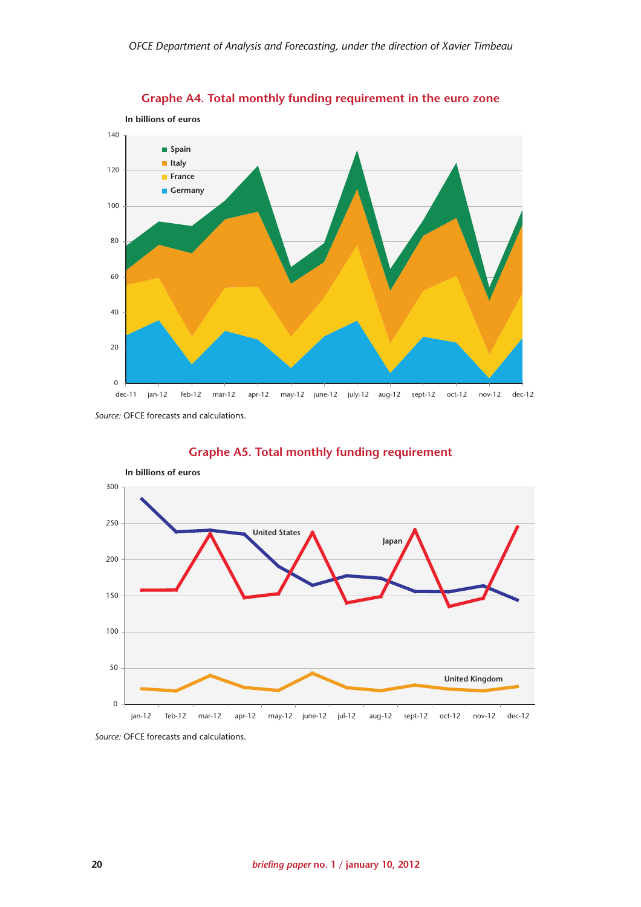

**Graphe A4. Total monthly funding requirement in the euro zone**

*Source:* OFCE forecasts and calculations.



#### **Graphe A5. Total monthly funding requirement**

*Source:* OFCE forecasts and calculations.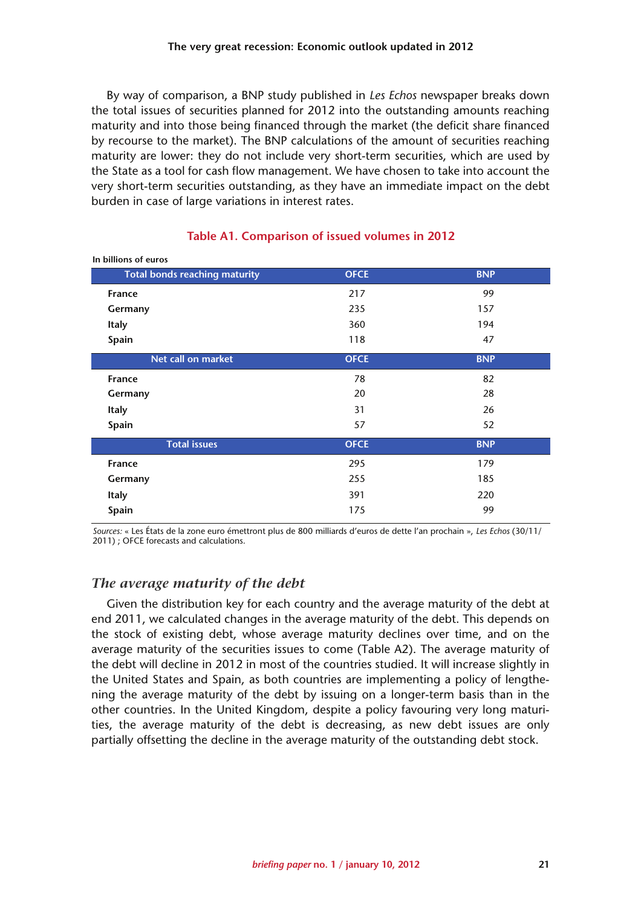By way of comparison, a BNP study published in *Les Echos* newspaper breaks down the total issues of securities planned for 2012 into the outstanding amounts reaching maturity and into those being financed through the market (the deficit share financed by recourse to the market). The BNP calculations of the amount of securities reaching maturity are lower: they do not include very short-term securities, which are used by the State as a tool for cash flow management. We have chosen to take into account the very short-term securities outstanding, as they have an immediate impact on the debt burden in case of large variations in interest rates.

| In billions of euros                 |             |            |
|--------------------------------------|-------------|------------|
| <b>Total bonds reaching maturity</b> | <b>OFCE</b> | <b>BNP</b> |
| <b>France</b>                        | 217         | 99         |
| Germany                              | 235         | 157        |
| <b>Italy</b>                         | 360         | 194        |
| Spain                                | 118         | 47         |
| Net call on market                   | <b>OFCE</b> | <b>BNP</b> |
| France                               | 78          | 82         |
| Germany                              | 20          | 28         |
| <b>Italy</b>                         | 31          | 26         |
| Spain                                | 57          | 52         |
| <b>Total issues</b>                  | <b>OFCE</b> | <b>BNP</b> |
| France                               | 295         | 179        |
| Germany                              | 255         | 185        |
| <b>Italy</b>                         | 391         | 220        |
| Spain                                | 175         | 99         |

#### **Table A1. Comparison of issued volumes in 2012**

*Sources:* « Les États de la zone euro émettront plus de 800 milliards d'euros de dette l'an prochain », *Les Echos* (30/11/ 2011) ; OFCE forecasts and calculations.

### *The average maturity of the debt*

Given the distribution key for each country and the average maturity of the debt at end 2011, we calculated changes in the average maturity of the debt. This depends on the stock of existing debt, whose average maturity declines over time, and on the average maturity of the securities issues to come (Table A2). The average maturity of the debt will decline in 2012 in most of the countries studied. It will increase slightly in the United States and Spain, as both countries are implementing a policy of lengthening the average maturity of the debt by issuing on a longer-term basis than in the other countries. In the United Kingdom, despite a policy favouring very long maturities, the average maturity of the debt is decreasing, as new debt issues are only partially offsetting the decline in the average maturity of the outstanding debt stock.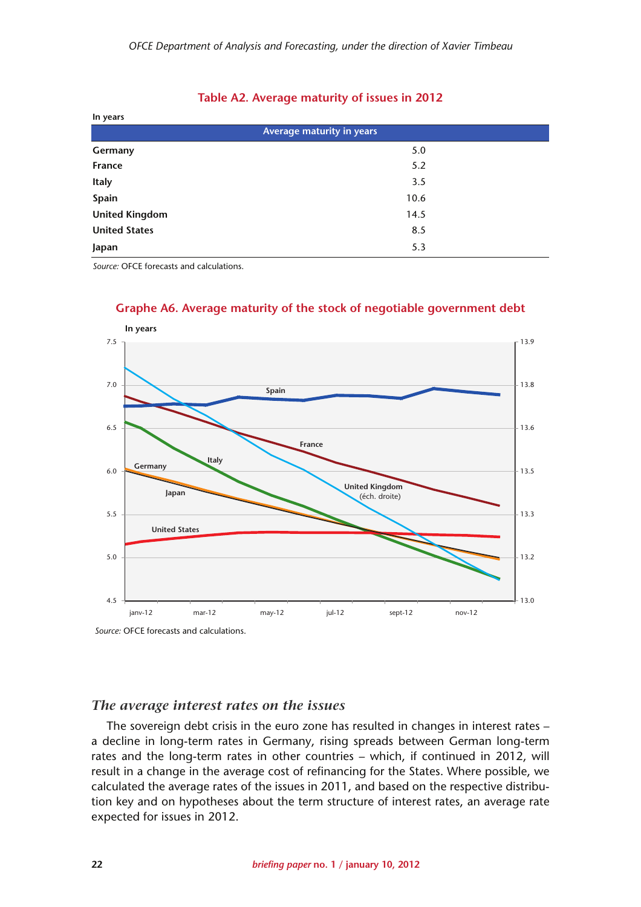#### **Table A2. Average maturity of issues in 2012**

| In years              |                           |
|-----------------------|---------------------------|
|                       | Average maturity in years |
| Germany               | 5.0                       |
| France                | 5.2                       |
| <b>Italy</b>          | 3.5                       |
| Spain                 | 10.6                      |
| <b>United Kingdom</b> | 14.5                      |
| <b>United States</b>  | 8.5                       |
| Japan                 | 5.3                       |

*Source:* OFCE forecasts and calculations.



#### **Graphe A6. Average maturity of the stock of negotiable government debt**

*Source:* OFCE forecasts and calculations.

#### *The average interest rates on the issues*

The sovereign debt crisis in the euro zone has resulted in changes in interest rates – a decline in long-term rates in Germany, rising spreads between German long-term rates and the long-term rates in other countries – which, if continued in 2012, will result in a change in the average cost of refinancing for the States. Where possible, we calculated the average rates of the issues in 2011, and based on the respective distribution key and on hypotheses about the term structure of interest rates, an average rate expected for issues in 2012.